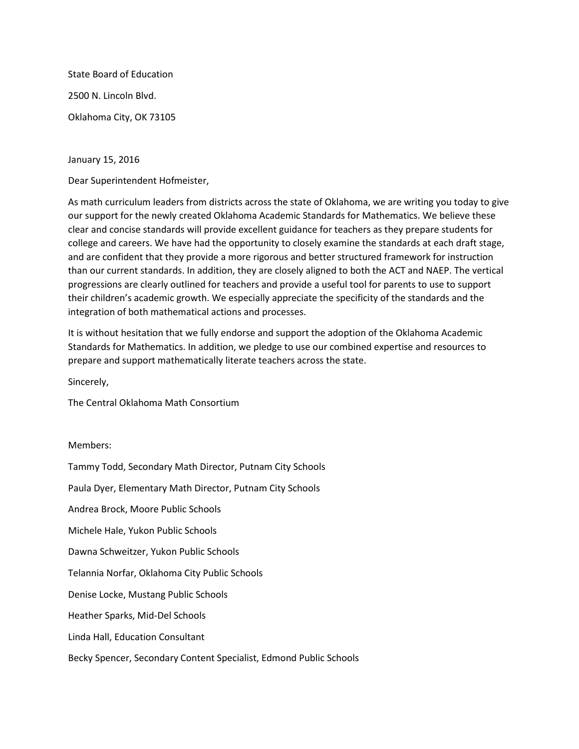State Board of Education 2500 N. Lincoln Blvd. Oklahoma City, OK 73105

January 15, 2016

Dear Superintendent Hofmeister,

As math curriculum leaders from districts across the state of Oklahoma, we are writing you today to give our support for the newly created Oklahoma Academic Standards for Mathematics. We believe these clear and concise standards will provide excellent guidance for teachers as they prepare students for college and careers. We have had the opportunity to closely examine the standards at each draft stage, and are confident that they provide a more rigorous and better structured framework for instruction than our current standards. In addition, they are closely aligned to both the ACT and NAEP. The vertical progressions are clearly outlined for teachers and provide a useful tool for parents to use to support their children's academic growth. We especially appreciate the specificity of the standards and the integration of both mathematical actions and processes.

It is without hesitation that we fully endorse and support the adoption of the Oklahoma Academic Standards for Mathematics. In addition, we pledge to use our combined expertise and resources to prepare and support mathematically literate teachers across the state.

Sincerely,

The Central Oklahoma Math Consortium

Members:

Tammy Todd, Secondary Math Director, Putnam City Schools Paula Dyer, Elementary Math Director, Putnam City Schools Andrea Brock, Moore Public Schools Michele Hale, Yukon Public Schools Dawna Schweitzer, Yukon Public Schools Telannia Norfar, Oklahoma City Public Schools Denise Locke, Mustang Public Schools Heather Sparks, Mid-Del Schools Linda Hall, Education Consultant Becky Spencer, Secondary Content Specialist, Edmond Public Schools